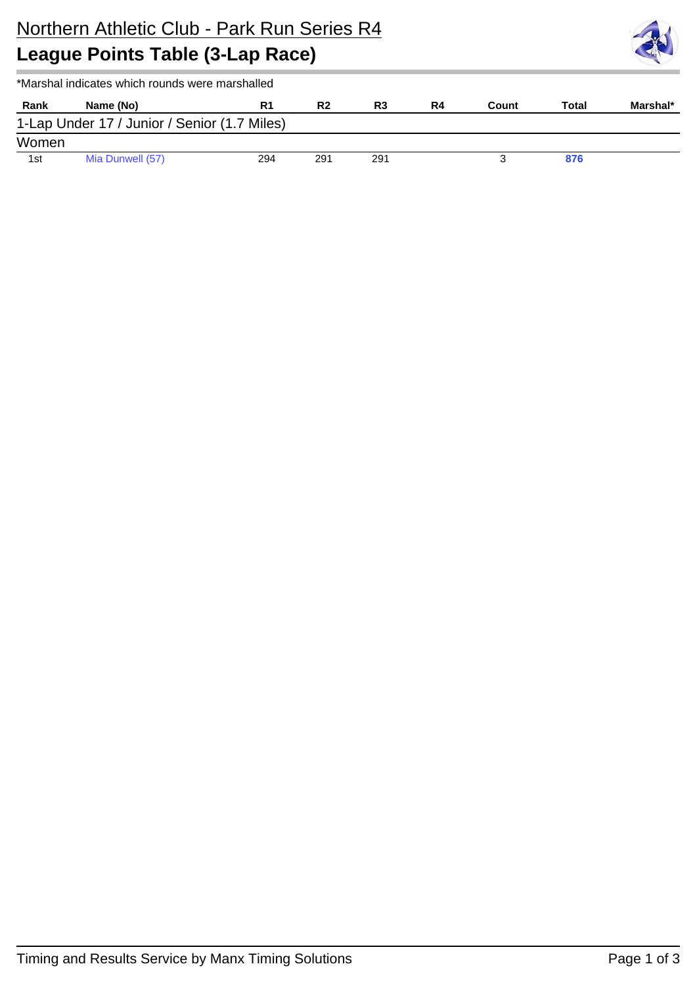

|       | *Marshal indicates which rounds were marshalled |     |                |     |    |       |       |          |
|-------|-------------------------------------------------|-----|----------------|-----|----|-------|-------|----------|
| Rank  | Name (No)                                       | R1  | R <sub>2</sub> | R3  | R4 | Count | Total | Marshal* |
|       | 1-Lap Under 17 / Junior / Senior (1.7 Miles)    |     |                |     |    |       |       |          |
| Women |                                                 |     |                |     |    |       |       |          |
| 1st   | Mia Dunwell (57)                                | 294 | 291            | 291 |    |       | 876   |          |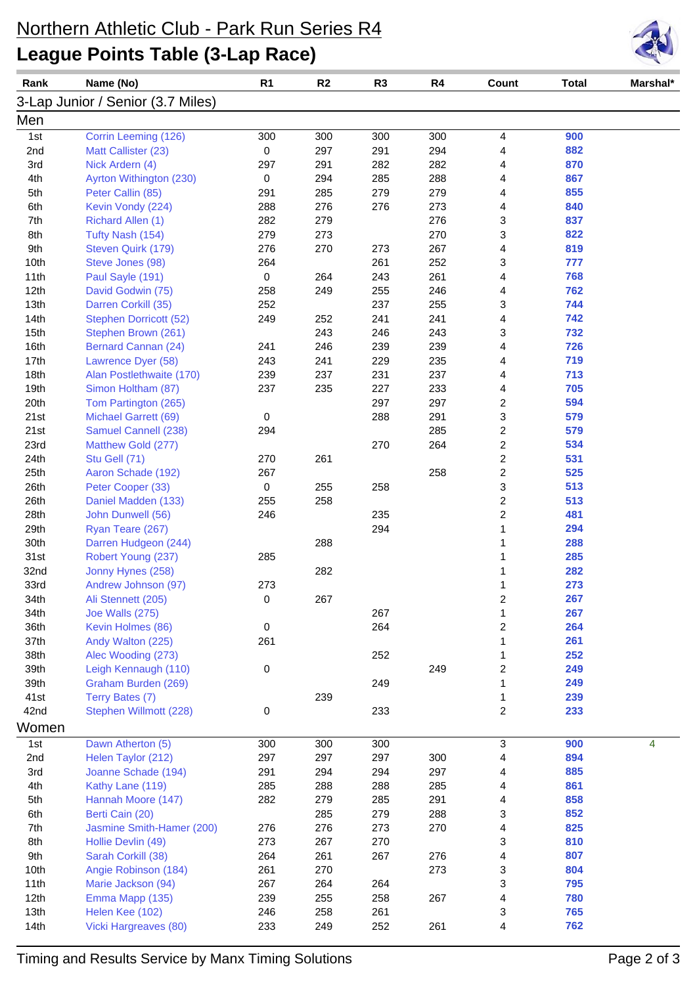## Northern Athletic Club - Park Run Series R4 **League Points Table (3-Lap Race)**



| Rank         | Name (No)                           | R <sub>1</sub> | R2  | R <sub>3</sub> | R4  | Count                            | <b>Total</b> | Marshal* |
|--------------|-------------------------------------|----------------|-----|----------------|-----|----------------------------------|--------------|----------|
|              | 3-Lap Junior / Senior (3.7 Miles)   |                |     |                |     |                                  |              |          |
| Men          |                                     |                |     |                |     |                                  |              |          |
| 1st          | Corrin Leeming (126)                | 300            | 300 | 300            | 300 | 4                                | 900          |          |
| 2nd          | Matt Callister (23)                 | 0              | 297 | 291            | 294 | 4                                | 882          |          |
| 3rd          | Nick Ardern (4)                     | 297            | 291 | 282            | 282 | 4                                | 870          |          |
| 4th          | Ayrton Withington (230)             | 0              | 294 | 285            | 288 | 4                                | 867          |          |
| 5th          | Peter Callin (85)                   | 291            | 285 | 279            | 279 | 4                                | 855          |          |
| 6th          | Kevin Vondy (224)                   | 288            | 276 | 276            | 273 | 4                                | 840          |          |
| 7th          | Richard Allen (1)                   | 282            | 279 |                | 276 | 3                                | 837          |          |
| 8th          | Tufty Nash (154)                    | 279            | 273 |                | 270 | 3                                | 822          |          |
| 9th          | Steven Quirk (179)                  | 276            | 270 | 273            | 267 | 4                                | 819          |          |
| 10th         | Steve Jones (98)                    | 264            |     | 261            | 252 | 3                                | 777          |          |
| 11th         | Paul Sayle (191)                    | 0              | 264 | 243            | 261 | 4                                | 768          |          |
| 12th         | David Godwin (75)                   | 258            | 249 | 255            | 246 | 4                                | 762          |          |
| 13th         | Darren Corkill (35)                 | 252            |     | 237            | 255 | 3                                | 744          |          |
| 14th         | <b>Stephen Dorricott (52)</b>       | 249            | 252 | 241            | 241 | 4                                | 742          |          |
| 15th         | Stephen Brown (261)                 |                | 243 | 246            | 243 | 3                                | 732          |          |
| 16th         | <b>Bernard Cannan (24)</b>          | 241            | 246 | 239            | 239 | 4                                | 726          |          |
| 17th         | Lawrence Dyer (58)                  | 243            | 241 | 229            | 235 | 4                                | 719          |          |
| 18th         | Alan Postlethwaite (170)            | 239            | 237 | 231            | 237 | 4                                | 713          |          |
| 19th         | Simon Holtham (87)                  | 237            | 235 | 227            | 233 | 4                                | 705          |          |
| 20th         | Tom Partington (265)                |                |     | 297            | 297 | $\overline{c}$                   | 594          |          |
| 21st         | Michael Garrett (69)                | 0              |     | 288            | 291 | 3                                | 579          |          |
| 21st         | Samuel Cannell (238)                | 294            |     |                | 285 | $\overline{c}$                   | 579          |          |
| 23rd         | Matthew Gold (277)                  |                |     | 270            | 264 | $\overline{c}$                   | 534          |          |
| 24th<br>25th | Stu Gell (71)<br>Aaron Schade (192) | 270<br>267     | 261 |                | 258 | $\overline{c}$<br>$\overline{c}$ | 531<br>525   |          |
| 26th         | Peter Cooper (33)                   | 0              | 255 | 258            |     | 3                                | 513          |          |
| 26th         | Daniel Madden (133)                 | 255            | 258 |                |     | $\overline{c}$                   | 513          |          |
| 28th         | John Dunwell (56)                   | 246            |     | 235            |     | $\overline{c}$                   | 481          |          |
| 29th         | Ryan Teare (267)                    |                |     | 294            |     | 1                                | 294          |          |
| 30th         | Darren Hudgeon (244)                |                | 288 |                |     | 1                                | 288          |          |
| 31st         | Robert Young (237)                  | 285            |     |                |     |                                  | 285          |          |
| 32nd         | Jonny Hynes (258)                   |                | 282 |                |     | 1                                | 282          |          |
| 33rd         | Andrew Johnson (97)                 | 273            |     |                |     | 1                                | 273          |          |
| 34th         | Ali Stennett (205)                  | 0              | 267 |                |     | 2                                | 267          |          |
| 34th         | Joe Walls (275)                     |                |     | 267            |     | 1                                | 267          |          |
| 36th         | Kevin Holmes (86)                   | 0              |     | 264            |     | $\boldsymbol{2}$                 | 264          |          |
| 37th         | Andy Walton (225)                   | 261            |     |                |     | 1                                | 261          |          |
| 38th         | Alec Wooding (273)                  |                |     | 252            |     | 1                                | 252          |          |
| 39th         | Leigh Kennaugh (110)                | 0              |     |                | 249 | $\overline{\mathbf{c}}$          | 249          |          |
| 39th         | Graham Burden (269)                 |                |     | 249            |     | 1                                | 249          |          |
| 41st         | Terry Bates (7)                     |                | 239 |                |     | 1                                | 239          |          |
| 42nd         | Stephen Willmott (228)              | 0              |     | 233            |     | 2                                | 233          |          |
| Women        |                                     |                |     |                |     |                                  |              |          |
| 1st          | Dawn Atherton (5)                   | 300            | 300 | 300            |     | 3                                | 900          | 4        |
| 2nd          | Helen Taylor (212)                  | 297            | 297 | 297            | 300 | 4                                | 894          |          |
| 3rd          | Joanne Schade (194)                 | 291            | 294 | 294            | 297 | 4                                | 885          |          |
| 4th          | Kathy Lane (119)                    | 285            | 288 | 288            | 285 | 4                                | 861          |          |
| 5th          | Hannah Moore (147)                  | 282            | 279 | 285            | 291 | 4                                | 858          |          |
| 6th          | Berti Cain (20)                     |                | 285 | 279            | 288 | 3                                | 852          |          |
| 7th          | Jasmine Smith-Hamer (200)           | 276            | 276 | 273            | 270 | 4                                | 825          |          |
| 8th          | Hollie Devlin (49)                  | 273            | 267 | 270            |     | 3                                | 810          |          |
| 9th          | Sarah Corkill (38)                  | 264            | 261 | 267            | 276 | 4                                | 807          |          |
| 10th         | Angie Robinson (184)                | 261            | 270 |                | 273 | 3                                | 804          |          |
| 11th         | Marie Jackson (94)                  | 267            | 264 | 264            |     | 3                                | 795          |          |
| 12th         | Emma Mapp (135)                     | 239            | 255 | 258            | 267 | 4                                | 780          |          |
| 13th         | Helen Kee (102)                     | 246            | 258 | 261            |     | 3                                | 765          |          |
| 14th         | Vicki Hargreaves (80)               | 233            | 249 | 252            | 261 | 4                                | 762          |          |